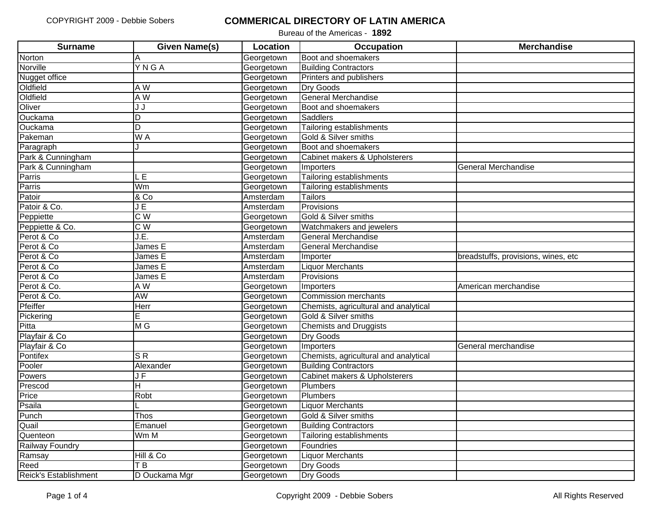| <b>Surname</b>        | <b>Given Name(s)</b>    | Location   | <b>Occupation</b>                     | <b>Merchandise</b>                  |
|-----------------------|-------------------------|------------|---------------------------------------|-------------------------------------|
| Norton                | Α                       | Georgetown | Boot and shoemakers                   |                                     |
| Norville              | YNGA                    | Georgetown | <b>Building Contractors</b>           |                                     |
| Nugget office         |                         | Georgetown | Printers and publishers               |                                     |
| Oldfield              | A W                     | Georgetown | Dry Goods                             |                                     |
| Oldfield              | A W                     | Georgetown | <b>General Merchandise</b>            |                                     |
| Oliver                | J J                     | Georgetown | Boot and shoemakers                   |                                     |
| Ouckama               | D                       | Georgetown | Saddlers                              |                                     |
| Ouckama               | $\overline{\mathsf{D}}$ | Georgetown | Tailoring establishments              |                                     |
| Pakeman               | W A                     | Georgetown | Gold & Silver smiths                  |                                     |
| Paragraph             |                         | Georgetown | Boot and shoemakers                   |                                     |
| Park & Cunningham     |                         | Georgetown | Cabinet makers & Upholsterers         |                                     |
| Park & Cunningham     |                         | Georgetown | Importers                             | General Merchandise                 |
| Parris                | E                       | Georgetown | Tailoring establishments              |                                     |
| Parris                | Wm                      | Georgetown | Tailoring establishments              |                                     |
| Patoir                | & Co                    | Amsterdam  | Tailors                               |                                     |
| Patoir & Co.          | JE                      | Amsterdam  | Provisions                            |                                     |
| Peppiette             | C W                     | Georgetown | Gold & Silver smiths                  |                                     |
| Peppiette & Co.       | $\overline{C}$ W        | Georgetown | Watchmakers and jewelers              |                                     |
| Perot & Co            | J.E.                    | Amsterdam  | <b>General Merchandise</b>            |                                     |
| Perot & Co            | James E                 | Amsterdam  | General Merchandise                   |                                     |
| Perot & Co            | James E                 | Amsterdam  | Importer                              | breadstuffs, provisions, wines, etc |
| Perot & Co            | James E                 | Amsterdam  | <b>Liquor Merchants</b>               |                                     |
| Perot & Co            | James E                 | Amsterdam  | Provisions                            |                                     |
| Perot & Co.           | A W                     | Georgetown | Importers                             | American merchandise                |
| Perot & Co.           | <b>AW</b>               | Georgetown | <b>Commission merchants</b>           |                                     |
| Pfeiffer              | Herr                    | Georgetown | Chemists, agricultural and analytical |                                     |
| Pickering             | E                       | Georgetown | Gold & Silver smiths                  |                                     |
| Pitta                 | M G                     | Georgetown | <b>Chemists and Druggists</b>         |                                     |
| Playfair & Co         |                         | Georgetown | <b>Dry Goods</b>                      |                                     |
| Playfair & Co         |                         | Georgetown | Importers                             | General merchandise                 |
| Pontifex              | $S$ R                   | Georgetown | Chemists, agricultural and analytical |                                     |
| Pooler                | Alexander               | Georgetown | <b>Building Contractors</b>           |                                     |
| Powers                | J F                     | Georgetown | Cabinet makers & Upholsterers         |                                     |
| Prescod               | $\overline{\mathsf{H}}$ | Georgetown | <b>Plumbers</b>                       |                                     |
| Price                 | Robt                    | Georgetown | <b>Plumbers</b>                       |                                     |
| Psaila                |                         | Georgetown | <b>Liquor Merchants</b>               |                                     |
| Punch                 | Thos                    | Georgetown | Gold & Silver smiths                  |                                     |
| Quail                 | Emanuel                 | Georgetown | <b>Building Contractors</b>           |                                     |
| Quenteon              | Wm M                    | Georgetown | Tailoring establishments              |                                     |
| Railway Foundry       |                         | Georgetown | Foundries                             |                                     |
| Ramsay                | Hill & Co               | Georgetown | <b>Liquor Merchants</b>               |                                     |
| Reed                  | T <sub>B</sub>          | Georgetown | <b>Dry Goods</b>                      |                                     |
| Reick's Establishment | D Ouckama Mgr           | Georgetown | Dry Goods                             |                                     |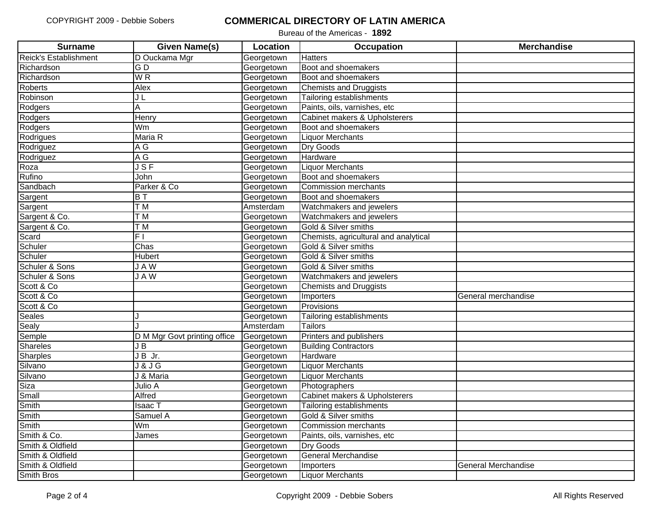| <b>Surname</b>        | <b>Given Name(s)</b>         | Location   | <b>Occupation</b>                     | <b>Merchandise</b>  |
|-----------------------|------------------------------|------------|---------------------------------------|---------------------|
| Reick's Establishment | D Ouckama Mgr                | Georgetown | <b>Hatters</b>                        |                     |
| Richardson            | $\overline{G}$               | Georgetown | Boot and shoemakers                   |                     |
| Richardson            | W <sub>R</sub>               | Georgetown | Boot and shoemakers                   |                     |
| Roberts               | Alex                         | Georgetown | <b>Chemists and Druggists</b>         |                     |
| Robinson              | JL                           | Georgetown | Tailoring establishments              |                     |
| Rodgers               | A                            | Georgetown | Paints, oils, varnishes, etc          |                     |
| Rodgers               | Henry                        | Georgetown | Cabinet makers & Upholsterers         |                     |
| Rodgers               | Wm                           | Georgetown | Boot and shoemakers                   |                     |
| Rodrigues             | Maria R                      | Georgetown | <b>Liquor Merchants</b>               |                     |
| Rodriguez             | $\overline{A}$ G             | Georgetown | <b>Dry Goods</b>                      |                     |
| Rodriguez             | A G                          | Georgetown | Hardware                              |                     |
| Roza                  | JSF                          | Georgetown | <b>Liquor Merchants</b>               |                     |
| Rufino                | John                         | Georgetown | Boot and shoemakers                   |                     |
| Sandbach              | Parker & Co                  | Georgetown | <b>Commission merchants</b>           |                     |
| Sargent               | $\overline{B}$               | Georgetown | Boot and shoemakers                   |                     |
| Sargent               | T <sub>M</sub>               | Amsterdam  | Watchmakers and jewelers              |                     |
| Sargent & Co.         | $\overline{\top}$ M          | Georgetown | Watchmakers and jewelers              |                     |
| Sargent & Co.         | $\overline{\top}$ M          | Georgetown | Gold & Silver smiths                  |                     |
| Scard                 | F1                           | Georgetown | Chemists, agricultural and analytical |                     |
| Schuler               | Chas                         | Georgetown | Gold & Silver smiths                  |                     |
| Schuler               | Hubert                       | Georgetown | Gold & Silver smiths                  |                     |
| Schuler & Sons        | <b>JAW</b>                   | Georgetown | Gold & Silver smiths                  |                     |
| Schuler & Sons        | <b>JAW</b>                   | Georgetown | Watchmakers and jewelers              |                     |
| Scott & Co            |                              | Georgetown | <b>Chemists and Druggists</b>         |                     |
| Scott & Co            |                              | Georgetown | Importers                             | General merchandise |
| Scott & Co            |                              | Georgetown | Provisions                            |                     |
| Seales                |                              | Georgetown | Tailoring establishments              |                     |
| Sealy                 |                              | Amsterdam  | <b>Tailors</b>                        |                     |
| Semple                | D M Mgr Govt printing office | Georgetown | Printers and publishers               |                     |
| Shareles              | J B                          | Georgetown | <b>Building Contractors</b>           |                     |
| Sharples              | $JB$ Jr.                     | Georgetown | Hardware                              |                     |
| Silvano               | J&JG                         | Georgetown | <b>Liquor Merchants</b>               |                     |
| Silvano               | J & Maria                    | Georgetown | <b>Liquor Merchants</b>               |                     |
| Siza                  | Julio A                      | Georgetown | Photographers                         |                     |
| Small                 | Alfred                       | Georgetown | Cabinet makers & Upholsterers         |                     |
| Smith                 | Isaac T                      | Georgetown | Tailoring establishments              |                     |
| Smith                 | Samuel A                     | Georgetown | Gold & Silver smiths                  |                     |
| Smith                 | Wm                           | Georgetown | <b>Commission merchants</b>           |                     |
| Smith & Co.           | James                        | Georgetown | Paints, oils, varnishes, etc          |                     |
| Smith & Oldfield      |                              | Georgetown | <b>Dry Goods</b>                      |                     |
| Smith & Oldfield      |                              | Georgetown | <b>General Merchandise</b>            |                     |
| Smith & Oldfield      |                              | Georgetown | Importers                             | General Merchandise |
| Smith Bros            |                              | Georgetown | <b>Liquor Merchants</b>               |                     |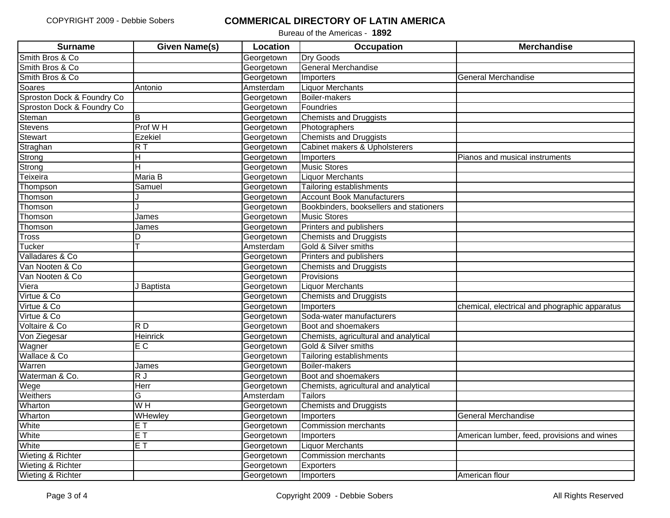| <b>Surname</b>             | <b>Given Name(s)</b>    | Location   | <b>Occupation</b>                       | <b>Merchandise</b>                            |
|----------------------------|-------------------------|------------|-----------------------------------------|-----------------------------------------------|
| Smith Bros & Co            |                         | Georgetown | <b>Dry Goods</b>                        |                                               |
| Smith Bros & Co            |                         | Georgetown | <b>General Merchandise</b>              |                                               |
| Smith Bros & Co            |                         | Georgetown | Importers                               | General Merchandise                           |
| Soares                     | Antonio                 | Amsterdam  | <b>Liquor Merchants</b>                 |                                               |
| Sproston Dock & Foundry Co |                         | Georgetown | Boiler-makers                           |                                               |
| Sproston Dock & Foundry Co |                         | Georgetown | Foundries                               |                                               |
| Steman                     | B                       | Georgetown | <b>Chemists and Druggists</b>           |                                               |
| Stevens                    | Prof WH                 | Georgetown | Photographers                           |                                               |
| Stewart                    | Ezekiel                 | Georgetown | <b>Chemists and Druggists</b>           |                                               |
| Straghan                   | $R$ T                   | Georgetown | Cabinet makers & Upholsterers           |                                               |
| Strong                     | H                       | Georgetown | Importers                               | Pianos and musical instruments                |
| Strong                     | $\overline{\mathsf{H}}$ | Georgetown | Music Stores                            |                                               |
| Teixeira                   | Maria B                 | Georgetown | <b>Liquor Merchants</b>                 |                                               |
| Thompson                   | Samuel                  | Georgetown | <b>Tailoring establishments</b>         |                                               |
| Thomson                    |                         | Georgetown | <b>Account Book Manufacturers</b>       |                                               |
| Thomson                    |                         | Georgetown | Bookbinders, booksellers and stationers |                                               |
| Thomson                    | James                   | Georgetown | <b>Music Stores</b>                     |                                               |
| Thomson                    | James                   | Georgetown | Printers and publishers                 |                                               |
| <b>Tross</b>               | D                       | Georgetown | <b>Chemists and Druggists</b>           |                                               |
| <b>Tucker</b>              |                         | Amsterdam  | Gold & Silver smiths                    |                                               |
| Valladares & Co            |                         | Georgetown | Printers and publishers                 |                                               |
| Van Nooten & Co            |                         | Georgetown | <b>Chemists and Druggists</b>           |                                               |
| Van Nooten & Co            |                         | Georgetown | Provisions                              |                                               |
| Viera                      | J Baptista              | Georgetown | <b>Liquor Merchants</b>                 |                                               |
| Virtue & Co                |                         | Georgetown | <b>Chemists and Druggists</b>           |                                               |
| Virtue & Co                |                         | Georgetown | Importers                               | chemical, electrical and phographic apparatus |
| Virtue & Co                |                         | Georgetown | Soda-water manufacturers                |                                               |
| Voltaire & Co              | R <sub>D</sub>          | Georgetown | Boot and shoemakers                     |                                               |
| Von Ziegesar               | <b>Heinrick</b>         | Georgetown | Chemists, agricultural and analytical   |                                               |
| Wagner                     | E C                     | Georgetown | Gold & Silver smiths                    |                                               |
| Wallace & Co               |                         | Georgetown | Tailoring establishments                |                                               |
| Warren                     | James                   | Georgetown | Boiler-makers                           |                                               |
| Waterman & Co.             | $\overline{R}$          | Georgetown | Boot and shoemakers                     |                                               |
| Wege                       | Herr                    | Georgetown | Chemists, agricultural and analytical   |                                               |
| Weithers                   | G                       | Amsterdam  | Tailors                                 |                                               |
| Wharton                    | W <sub>H</sub>          | Georgetown | <b>Chemists and Druggists</b>           |                                               |
| Wharton                    | WHewley                 | Georgetown | Importers                               | <b>General Merchandise</b>                    |
| White                      | $E$ T                   | Georgetown | <b>Commission merchants</b>             |                                               |
| White                      | $E$ T                   | Georgetown | Importers                               | American lumber, feed, provisions and wines   |
| White                      | $E$ T                   | Georgetown | <b>Liquor Merchants</b>                 |                                               |
| Wieting & Richter          |                         | Georgetown | <b>Commission merchants</b>             |                                               |
| Wieting & Richter          |                         | Georgetown | <b>Exporters</b>                        |                                               |
| Wieting & Richter          |                         | Georgetown | Importers                               | American flour                                |